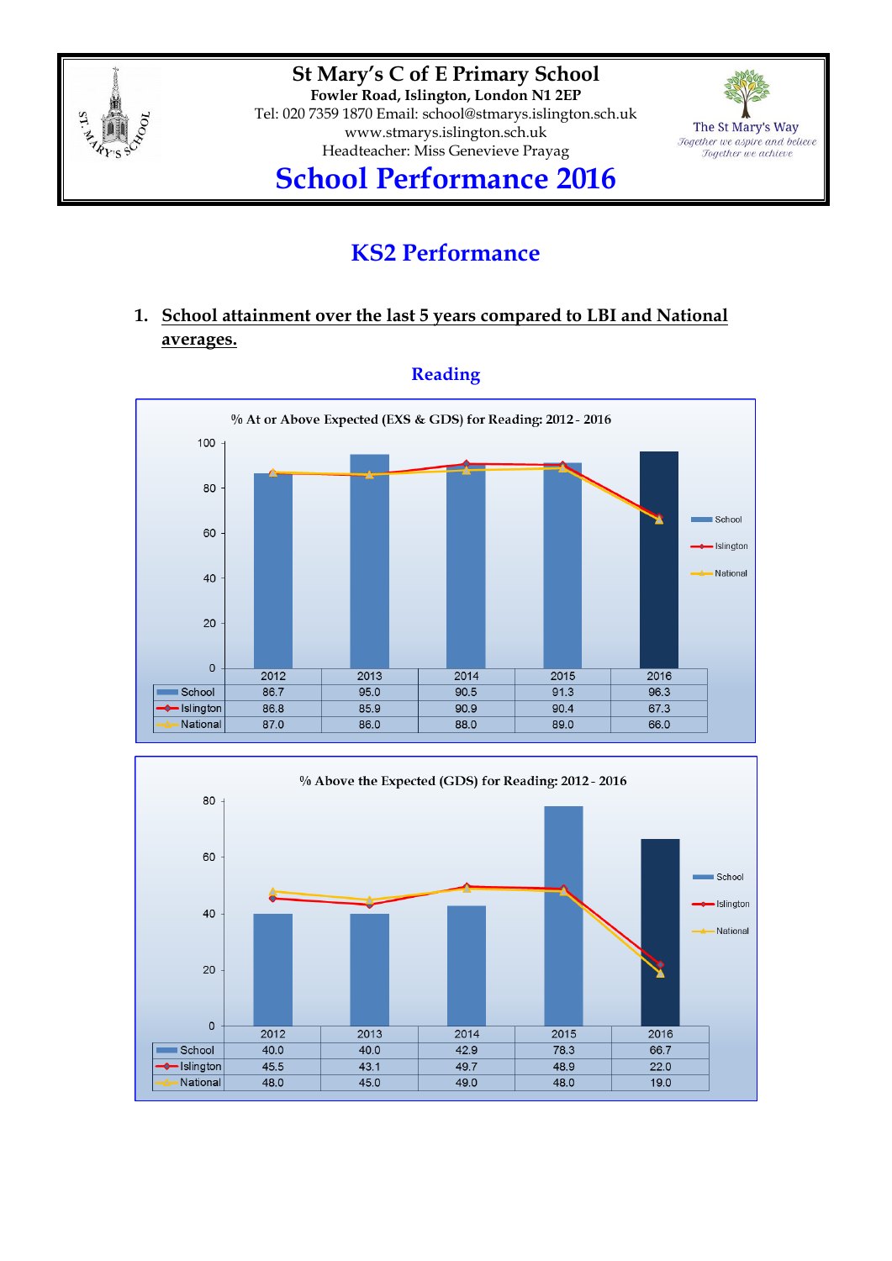

**St Mary's C of E Primary School Fowler Road, Islington, London N1 2EP** Tel: 020 7359 1870 Email: [school@stmarys.islington.sch.uk](mailto:school@stmarys.islington.sch.uk) [www.stmarys.islington.sch.uk](http://www.stmarys.islington.sch.uk/) Headteacher: Miss Genevieve Prayag



# **School Performance 2016**

# **KS2 Performance**

### **1. School attainment over the last 5 years compared to LBI and National averages.**



### **Reading**

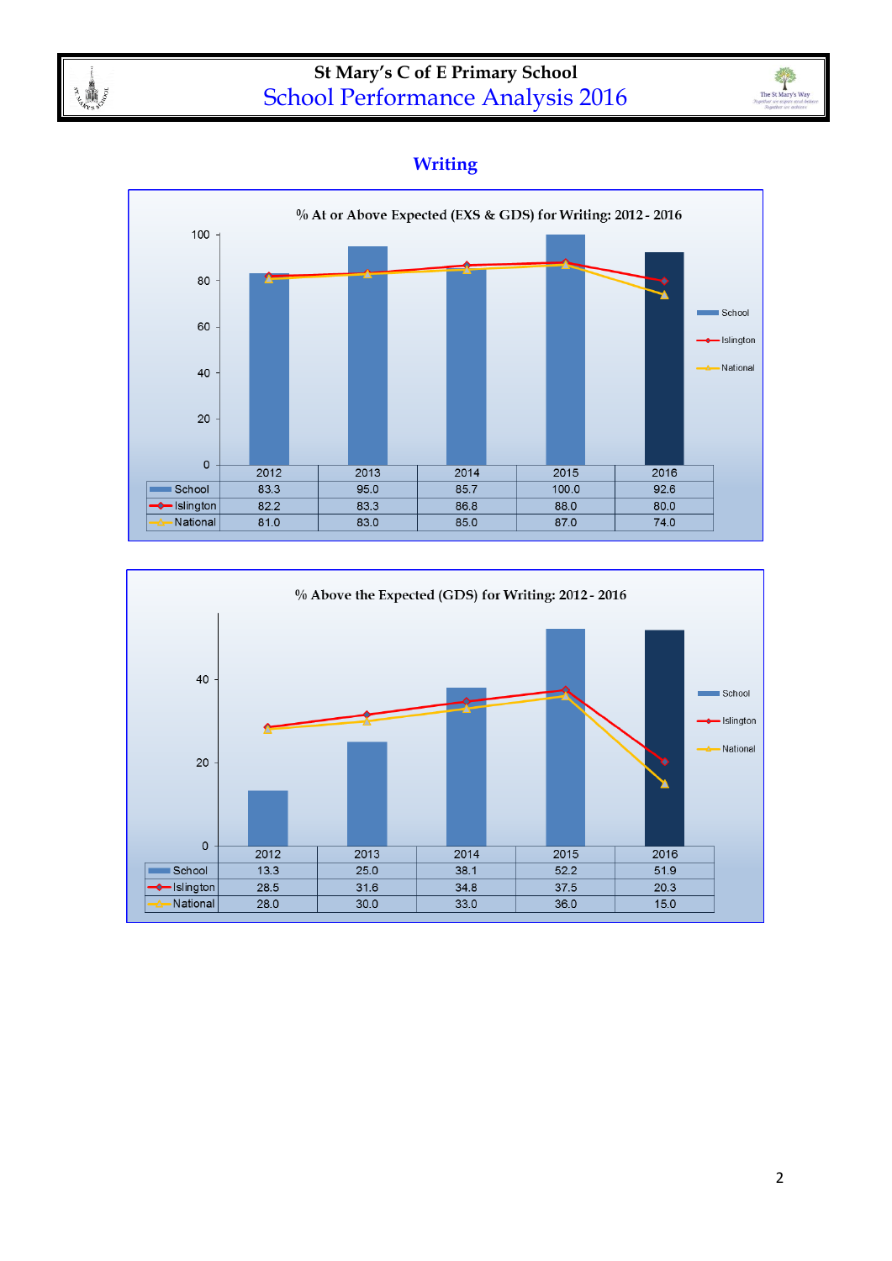

### **St Mary's C of E Primary School** School Performance Analysis 2016



### **Writing**



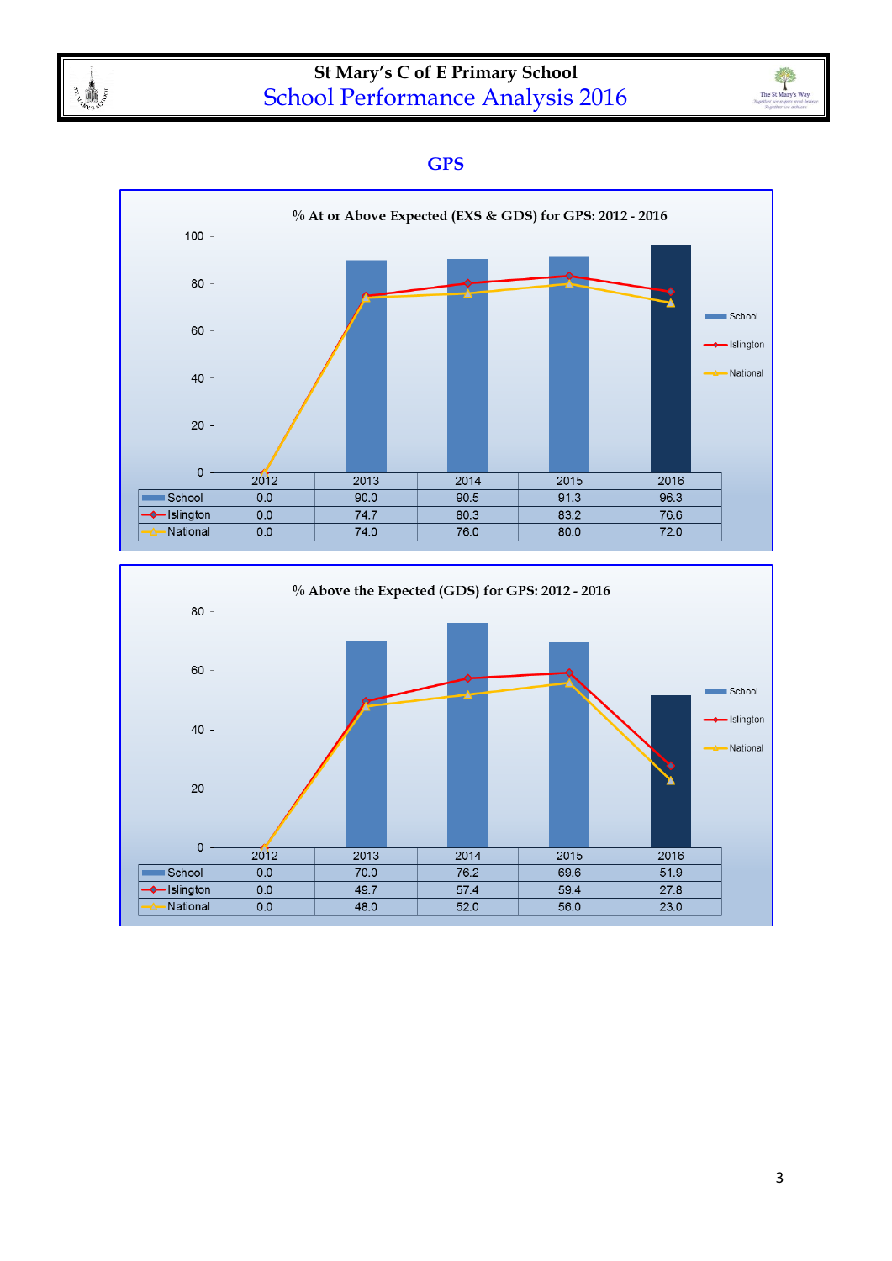



#### **GPS**



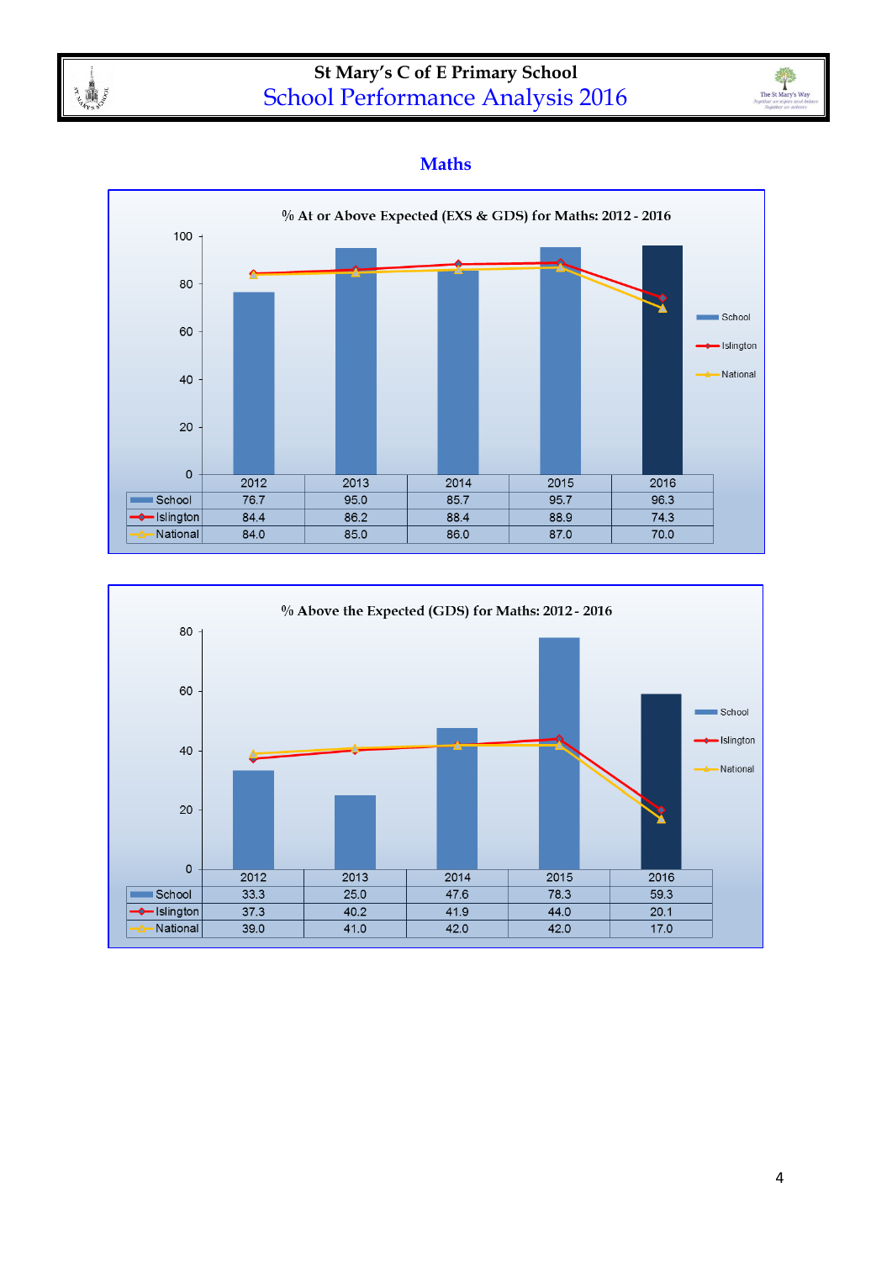

## **St Mary's C of E Primary School** School Performance Analysis 2016



#### **Maths**



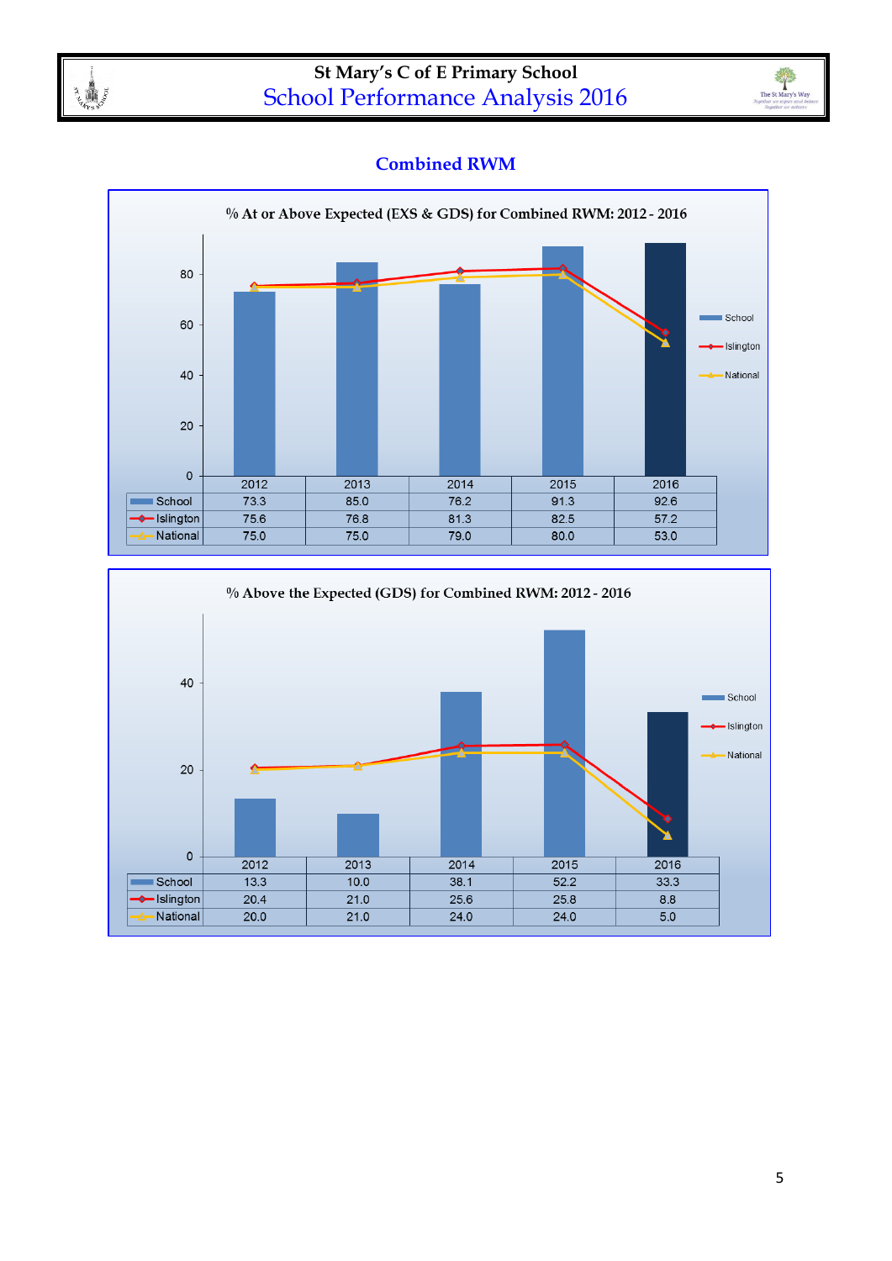



### **Combined RWM**



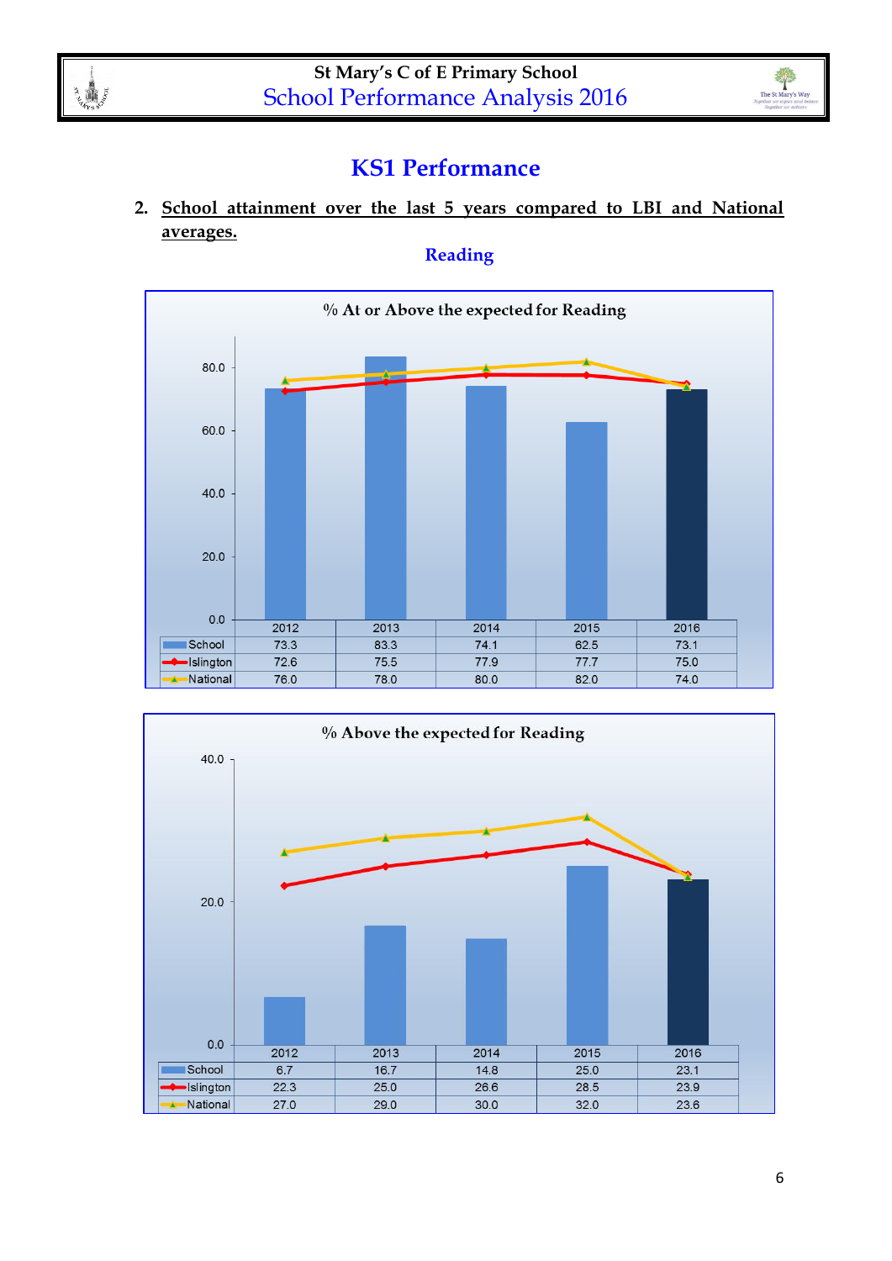

The St Mary's Way

### **KS1 Performance**

**2. School attainment over the last 5 years compared to LBI and National averages.**

**Reading**



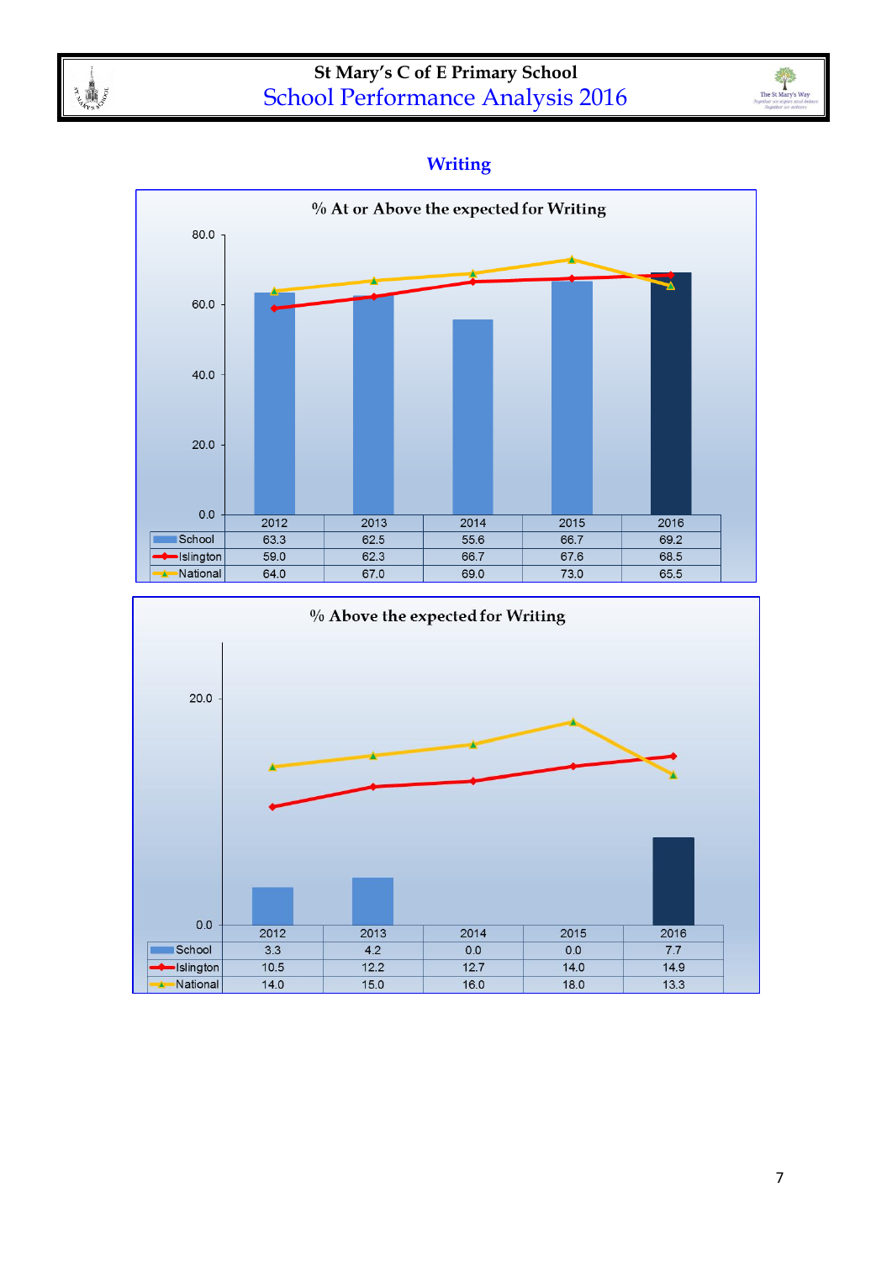



### **Writing**



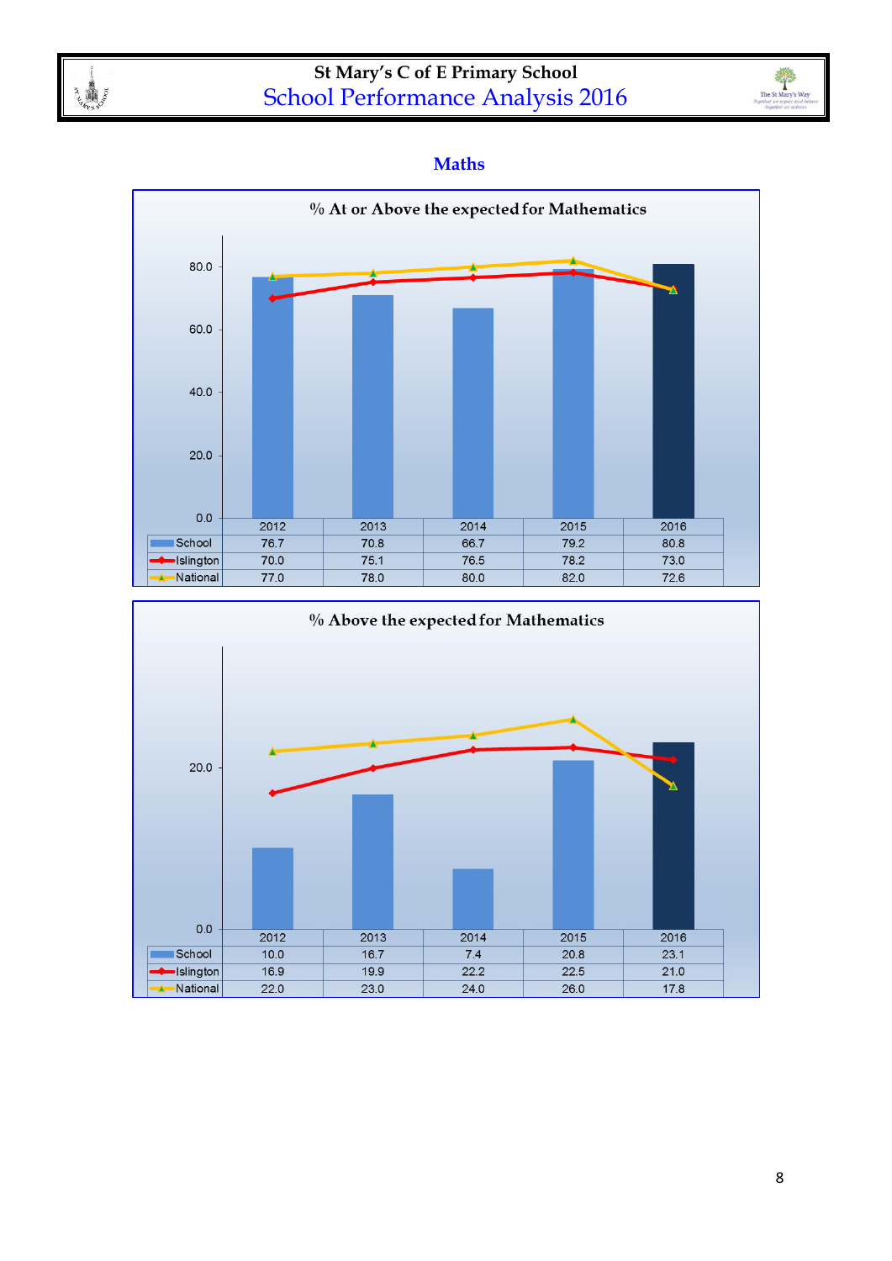



#### **Maths**